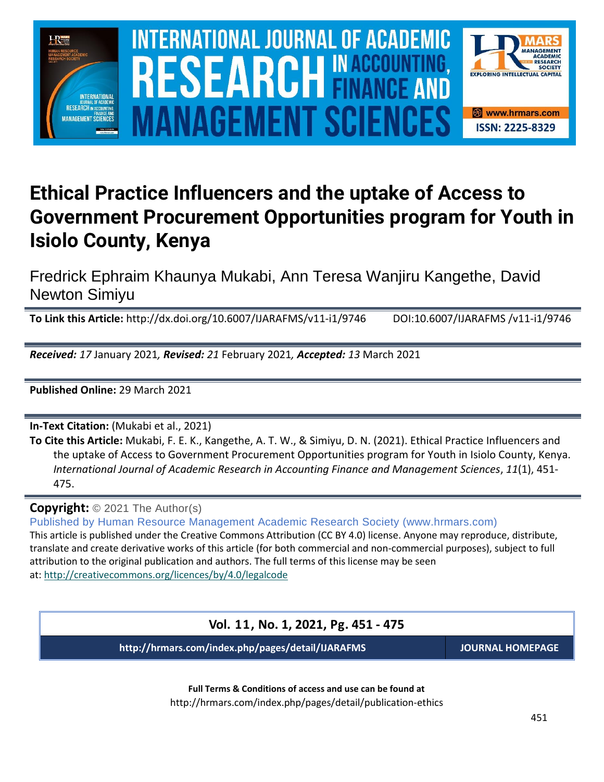

# **Ethical Practice Influencers and the uptake of Access to Government Procurement Opportunities program for Youth in Isiolo County, Kenya**

Fredrick Ephraim Khaunya Mukabi, Ann Teresa Wanjiru Kangethe, David Newton Simiyu

**To Link this Article:** http://dx.doi.org/10.6007/IJARAFMS/v11-i1/9746 DOI:10.6007/IJARAFMS /v11-i1/9746

*Received: 17* January 2021*, Revised: 21* February 2021*, Accepted: 13* March 2021

**Published Online:** 29 March 2021

**In-Text Citation:** (Mukabi et al., 2021)

**To Cite this Article:** Mukabi, F. E. K., Kangethe, A. T. W., & Simiyu, D. N. (2021). Ethical Practice Influencers and the uptake of Access to Government Procurement Opportunities program for Youth in Isiolo County, Kenya. *International Journal of Academic Research in Accounting Finance and Management Sciences*, *11*(1), 451- 475.

**Copyright:** © 2021 The Author(s)

Published by Human Resource Management Academic Research Society (www.hrmars.com) This article is published under the Creative Commons Attribution (CC BY 4.0) license. Anyone may reproduce, distribute, translate and create derivative works of this article (for both commercial and non-commercial purposes), subject to full attribution to the original publication and authors. The full terms of this license may be seen

at: <http://creativecommons.org/licences/by/4.0/legalcode>

**Vol. 11, No. 1, 2021, Pg. 451 - 475**

**http://hrmars.com/index.php/pages/detail/IJARAFMS JOURNAL HOMEPAGE**

**Full Terms & Conditions of access and use can be found at** http://hrmars.com/index.php/pages/detail/publication-ethics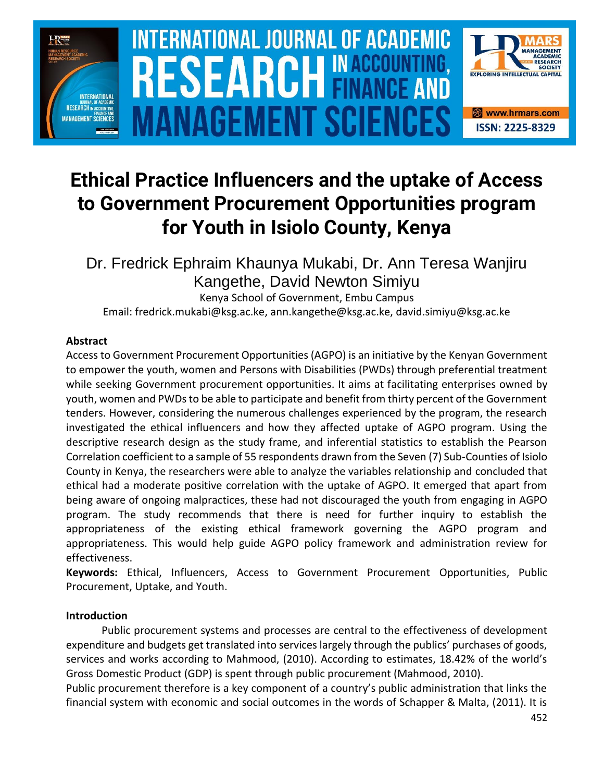

# **Ethical Practice Influencers and the uptake of Access to Government Procurement Opportunities program for Youth in Isiolo County, Kenya**

Dr. Fredrick Ephraim Khaunya Mukabi, Dr. Ann Teresa Wanjiru Kangethe, David Newton Simiyu

Kenya School of Government, Embu Campus Email: fredrick.mukabi@ksg.ac.ke, ann.kangethe@ksg.ac.ke, david.simiyu@ksg.ac.ke

## **Abstract**

Access to Government Procurement Opportunities (AGPO) is an initiative by the Kenyan Government to empower the youth, women and Persons with Disabilities (PWDs) through preferential treatment while seeking Government procurement opportunities. It aims at facilitating enterprises owned by youth, women and PWDs to be able to participate and benefit from thirty percent of the Government tenders. However, considering the numerous challenges experienced by the program, the research investigated the ethical influencers and how they affected uptake of AGPO program. Using the descriptive research design as the study frame, and inferential statistics to establish the Pearson Correlation coefficient to a sample of 55 respondents drawn from the Seven (7) Sub-Counties of Isiolo County in Kenya, the researchers were able to analyze the variables relationship and concluded that ethical had a moderate positive correlation with the uptake of AGPO. It emerged that apart from being aware of ongoing malpractices, these had not discouraged the youth from engaging in AGPO program. The study recommends that there is need for further inquiry to establish the appropriateness of the existing ethical framework governing the AGPO program and appropriateness. This would help guide AGPO policy framework and administration review for effectiveness.

**Keywords:** Ethical, Influencers, Access to Government Procurement Opportunities, Public Procurement, Uptake, and Youth.

# **Introduction**

Public procurement systems and processes are central to the effectiveness of development expenditure and budgets get translated into services largely through the publics' purchases of goods, services and works according to Mahmood, (2010). According to estimates, 18.42% of the world's Gross Domestic Product (GDP) is spent through public procurement (Mahmood, 2010).

Public procurement therefore is a key component of a country's public administration that links the financial system with economic and social outcomes in the words of Schapper & Malta, (2011). It is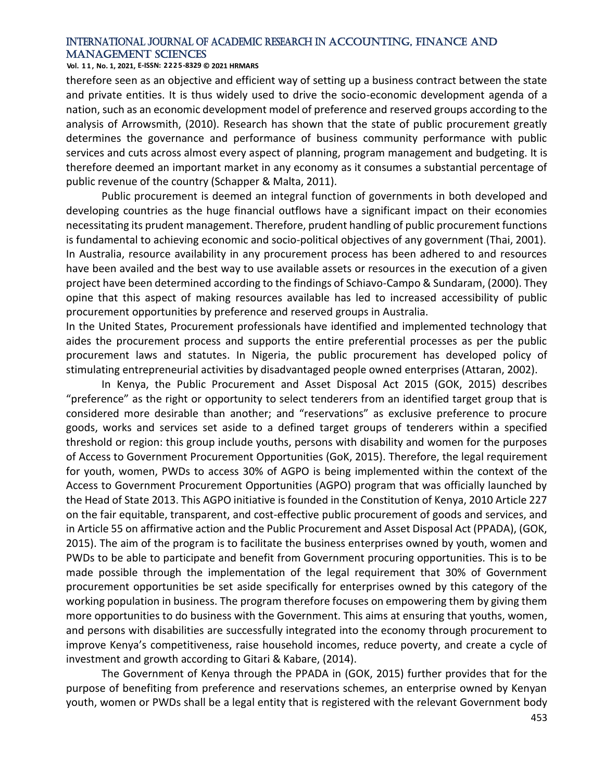**Vol. 1 1 , No. 1, 2021, E-ISSN: 2225-8329 © 2021 HRMARS**

therefore seen as an objective and efficient way of setting up a business contract between the state and private entities. It is thus widely used to drive the socio-economic development agenda of a nation, such as an economic development model of preference and reserved groups according to the analysis of Arrowsmith, (2010). Research has shown that the state of public procurement greatly determines the governance and performance of business community performance with public services and cuts across almost every aspect of planning, program management and budgeting. It is therefore deemed an important market in any economy as it consumes a substantial percentage of public revenue of the country (Schapper & Malta, 2011).

Public procurement is deemed an integral function of governments in both developed and developing countries as the huge financial outflows have a significant impact on their economies necessitating its prudent management. Therefore, prudent handling of public procurement functions is fundamental to achieving economic and socio-political objectives of any government (Thai, 2001). In Australia, resource availability in any procurement process has been adhered to and resources have been availed and the best way to use available assets or resources in the execution of a given project have been determined according to the findings of Schiavo-Campo & Sundaram, (2000). They opine that this aspect of making resources available has led to increased accessibility of public procurement opportunities by preference and reserved groups in Australia.

In the United States, Procurement professionals have identified and implemented technology that aides the procurement process and supports the entire preferential processes as per the public procurement laws and statutes. In Nigeria, the public procurement has developed policy of stimulating entrepreneurial activities by disadvantaged people owned enterprises (Attaran, 2002).

In Kenya, the Public Procurement and Asset Disposal Act 2015 (GOK, 2015) describes "preference" as the right or opportunity to select tenderers from an identified target group that is considered more desirable than another; and "reservations" as exclusive preference to procure goods, works and services set aside to a defined target groups of tenderers within a specified threshold or region: this group include youths, persons with disability and women for the purposes of Access to Government Procurement Opportunities (GoK, 2015). Therefore, the legal requirement for youth, women, PWDs to access 30% of AGPO is being implemented within the context of the Access to Government Procurement Opportunities (AGPO) program that was officially launched by the Head of State 2013. This AGPO initiative is founded in the Constitution of Kenya, 2010 Article 227 on the fair equitable, transparent, and cost-effective public procurement of goods and services, and in Article 55 on affirmative action and the Public Procurement and Asset Disposal Act (PPADA), (GOK, 2015). The aim of the program is to facilitate the business enterprises owned by youth, women and PWDs to be able to participate and benefit from Government procuring opportunities. This is to be made possible through the implementation of the legal requirement that 30% of Government procurement opportunities be set aside specifically for enterprises owned by this category of the working population in business. The program therefore focuses on empowering them by giving them more opportunities to do business with the Government. This aims at ensuring that youths, women, and persons with disabilities are successfully integrated into the economy through procurement to improve Kenya's competitiveness, raise household incomes, reduce poverty, and create a cycle of investment and growth according to Gitari & Kabare, (2014).

The Government of Kenya through the PPADA in (GOK, 2015) further provides that for the purpose of benefiting from preference and reservations schemes, an enterprise owned by Kenyan youth, women or PWDs shall be a legal entity that is registered with the relevant Government body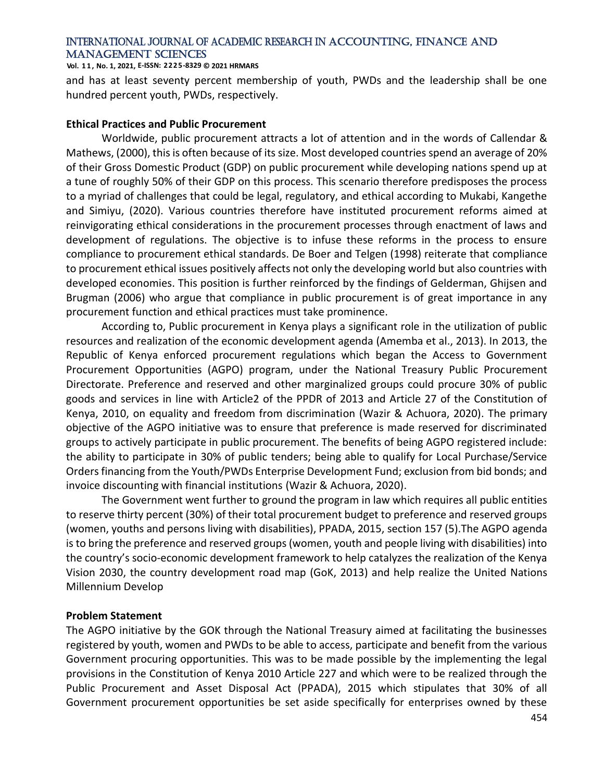#### **Vol. 1 1 , No. 1, 2021, E-ISSN: 2225-8329 © 2021 HRMARS**

and has at least seventy percent membership of youth, PWDs and the leadership shall be one hundred percent youth, PWDs, respectively.

#### **Ethical Practices and Public Procurement**

Worldwide, public procurement attracts a lot of attention and in the words of Callendar & Mathews, (2000), this is often because of its size. Most developed countries spend an average of 20% of their Gross Domestic Product (GDP) on public procurement while developing nations spend up at a tune of roughly 50% of their GDP on this process. This scenario therefore predisposes the process to a myriad of challenges that could be legal, regulatory, and ethical according to Mukabi, Kangethe and Simiyu, (2020). Various countries therefore have instituted procurement reforms aimed at reinvigorating ethical considerations in the procurement processes through enactment of laws and development of regulations. The objective is to infuse these reforms in the process to ensure compliance to procurement ethical standards. De Boer and Telgen (1998) reiterate that compliance to procurement ethical issues positively affects not only the developing world but also countries with developed economies. This position is further reinforced by the findings of Gelderman, Ghijsen and Brugman (2006) who argue that compliance in public procurement is of great importance in any procurement function and ethical practices must take prominence.

According to, Public procurement in Kenya plays a significant role in the utilization of public resources and realization of the economic development agenda (Amemba et al., 2013). In 2013, the Republic of Kenya enforced procurement regulations which began the Access to Government Procurement Opportunities (AGPO) program, under the National Treasury Public Procurement Directorate. Preference and reserved and other marginalized groups could procure 30% of public goods and services in line with Article2 of the PPDR of 2013 and Article 27 of the Constitution of Kenya, 2010, on equality and freedom from discrimination (Wazir & Achuora, 2020). The primary objective of the AGPO initiative was to ensure that preference is made reserved for discriminated groups to actively participate in public procurement. The benefits of being AGPO registered include: the ability to participate in 30% of public tenders; being able to qualify for Local Purchase/Service Orders financing from the Youth/PWDs Enterprise Development Fund; exclusion from bid bonds; and invoice discounting with financial institutions (Wazir & Achuora, 2020).

The Government went further to ground the program in law which requires all public entities to reserve thirty percent (30%) of their total procurement budget to preference and reserved groups (women, youths and persons living with disabilities), PPADA, 2015, section 157 (5).The AGPO agenda is to bring the preference and reserved groups (women, youth and people living with disabilities) into the country's socio-economic development framework to help catalyzes the realization of the Kenya Vision 2030, the country development road map (GoK, 2013) and help realize the United Nations Millennium Develop

#### **Problem Statement**

The AGPO initiative by the GOK through the National Treasury aimed at facilitating the businesses registered by youth, women and PWDs to be able to access, participate and benefit from the various Government procuring opportunities. This was to be made possible by the implementing the legal provisions in the Constitution of Kenya 2010 Article 227 and which were to be realized through the Public Procurement and Asset Disposal Act (PPADA), 2015 which stipulates that 30% of all Government procurement opportunities be set aside specifically for enterprises owned by these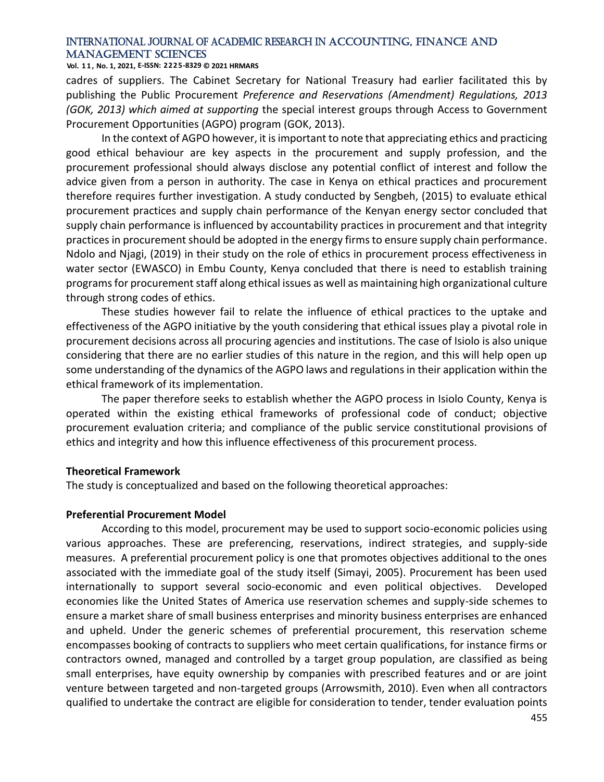**Vol. 1 1 , No. 1, 2021, E-ISSN: 2225-8329 © 2021 HRMARS**

cadres of suppliers. The Cabinet Secretary for National Treasury had earlier facilitated this by publishing the Public Procurement *Preference and Reservations (Amendment) Regulations, 2013 (GOK, 2013) which aimed at supporting* the special interest groups through Access to Government Procurement Opportunities (AGPO) program (GOK, 2013).

In the context of AGPO however, it is important to note that appreciating ethics and practicing good ethical behaviour are key aspects in the procurement and supply profession, and the procurement professional should always disclose any potential conflict of interest and follow the advice given from a person in authority. The case in Kenya on ethical practices and procurement therefore requires further investigation. A study conducted by Sengbeh, (2015) to evaluate ethical procurement practices and supply chain performance of the Kenyan energy sector concluded that supply chain performance is influenced by accountability practices in procurement and that integrity practices in procurement should be adopted in the energy firms to ensure supply chain performance. Ndolo and Njagi, (2019) in their study on the role of ethics in procurement process effectiveness in water sector (EWASCO) in Embu County, Kenya concluded that there is need to establish training programs for procurement staff along ethical issues as well as maintaining high organizational culture through strong codes of ethics.

These studies however fail to relate the influence of ethical practices to the uptake and effectiveness of the AGPO initiative by the youth considering that ethical issues play a pivotal role in procurement decisions across all procuring agencies and institutions. The case of Isiolo is also unique considering that there are no earlier studies of this nature in the region, and this will help open up some understanding of the dynamics of the AGPO laws and regulations in their application within the ethical framework of its implementation.

The paper therefore seeks to establish whether the AGPO process in Isiolo County, Kenya is operated within the existing ethical frameworks of professional code of conduct; objective procurement evaluation criteria; and compliance of the public service constitutional provisions of ethics and integrity and how this influence effectiveness of this procurement process.

#### **Theoretical Framework**

The study is conceptualized and based on the following theoretical approaches:

#### **Preferential Procurement Model**

According to this model, procurement may be used to support socio-economic policies using various approaches. These are preferencing, reservations, indirect strategies, and supply-side measures. A preferential procurement policy is one that promotes objectives additional to the ones associated with the immediate goal of the study itself (Simayi, 2005). Procurement has been used internationally to support several socio-economic and even political objectives. Developed economies like the United States of America use reservation schemes and supply-side schemes to ensure a market share of small business enterprises and minority business enterprises are enhanced and upheld. Under the generic schemes of preferential procurement, this reservation scheme encompasses booking of contracts to suppliers who meet certain qualifications, for instance firms or contractors owned, managed and controlled by a target group population, are classified as being small enterprises, have equity ownership by companies with prescribed features and or are joint venture between targeted and non-targeted groups (Arrowsmith, 2010). Even when all contractors qualified to undertake the contract are eligible for consideration to tender, tender evaluation points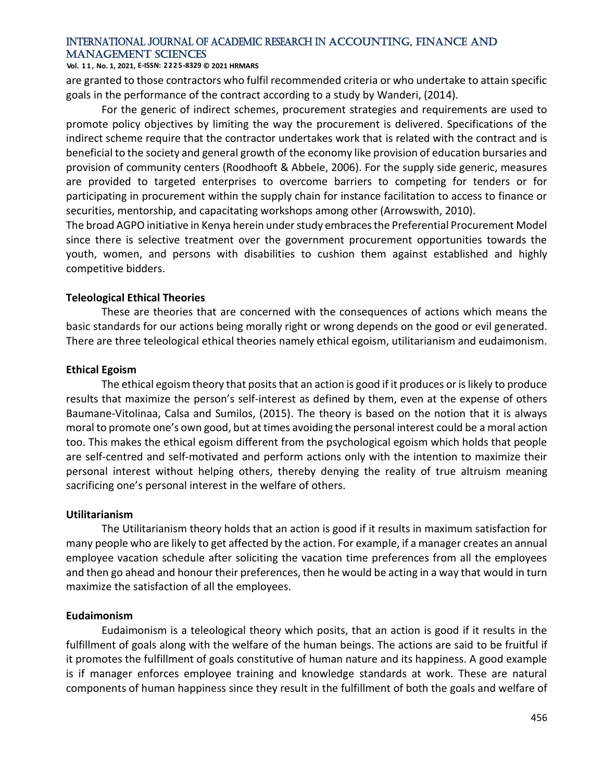#### **Vol. 1 1 , No. 1, 2021, E-ISSN: 2225-8329 © 2021 HRMARS**

are granted to those contractors who fulfil recommended criteria or who undertake to attain specific goals in the performance of the contract according to a study by Wanderi, (2014).

For the generic of indirect schemes, procurement strategies and requirements are used to promote policy objectives by limiting the way the procurement is delivered. Specifications of the indirect scheme require that the contractor undertakes work that is related with the contract and is beneficial to the society and general growth of the economy like provision of education bursaries and provision of community centers (Roodhooft & Abbele, 2006). For the supply side generic, measures are provided to targeted enterprises to overcome barriers to competing for tenders or for participating in procurement within the supply chain for instance facilitation to access to finance or securities, mentorship, and capacitating workshops among other (Arrowswith, 2010).

The broad AGPO initiative in Kenya herein under study embraces the Preferential Procurement Model since there is selective treatment over the government procurement opportunities towards the youth, women, and persons with disabilities to cushion them against established and highly competitive bidders.

### **Teleological Ethical Theories**

These are theories that are concerned with the consequences of actions which means the basic standards for our actions being morally right or wrong depends on the good or evil generated. There are three teleological ethical theories namely ethical egoism, utilitarianism and eudaimonism.

### **Ethical Egoism**

The ethical egoism theory that posits that an action is good if it produces or is likely to produce results that maximize the person's self-interest as defined by them, even at the expense of others Baumane-Vitolinaa, Calsa and Sumilos, (2015). The theory is based on the notion that it is always moral to promote one's own good, but at times avoiding the personal interest could be a moral action too. This makes the ethical egoism different from the psychological egoism which holds that people are self-centred and self-motivated and perform actions only with the intention to maximize their personal interest without helping others, thereby denying the reality of true altruism meaning sacrificing one's personal interest in the welfare of others.

#### **Utilitarianism**

The Utilitarianism theory holds that an action is good if it results in maximum satisfaction for many people who are likely to get affected by the action. For example, if a manager creates an annual employee vacation schedule after soliciting the vacation time preferences from all the employees and then go ahead and honour their preferences, then he would be acting in a way that would in turn maximize the satisfaction of all the employees.

## **Eudaimonism**

Eudaimonism is a teleological theory which posits, that an action is good if it results in the fulfillment of goals along with the welfare of the human beings. The actions are said to be fruitful if it promotes the fulfillment of goals constitutive of human nature and its happiness. A good example is if manager enforces employee training and knowledge standards at work. These are natural components of human happiness since they result in the fulfillment of both the goals and welfare of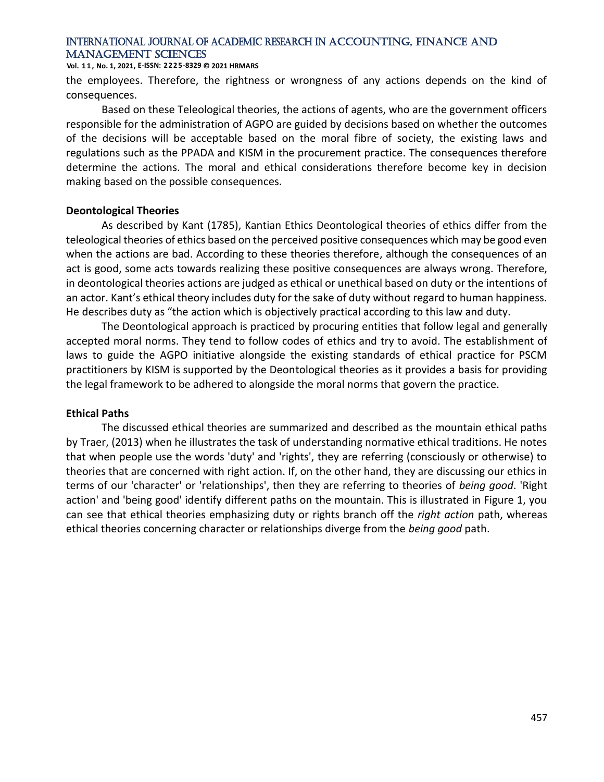#### **Vol. 1 1 , No. 1, 2021, E-ISSN: 2225-8329 © 2021 HRMARS**

the employees. Therefore, the rightness or wrongness of any actions depends on the kind of consequences.

Based on these Teleological theories, the actions of agents, who are the government officers responsible for the administration of AGPO are guided by decisions based on whether the outcomes of the decisions will be acceptable based on the moral fibre of society, the existing laws and regulations such as the PPADA and KISM in the procurement practice. The consequences therefore determine the actions. The moral and ethical considerations therefore become key in decision making based on the possible consequences.

## **Deontological Theories**

As described by Kant (1785), Kantian Ethics Deontological theories of ethics differ from the teleological theories of ethics based on the perceived positive consequences which may be good even when the actions are bad. According to these theories therefore, although the consequences of an act is good, some acts towards realizing these positive consequences are always wrong. Therefore, in deontological theories actions are judged as ethical or unethical based on duty or the intentions of an actor. Kant's ethical theory includes duty for the sake of duty without regard to human happiness. He describes duty as "the action which is objectively practical according to this law and duty.

The Deontological approach is practiced by procuring entities that follow legal and generally accepted moral norms. They tend to follow codes of ethics and try to avoid. The establishment of laws to guide the AGPO initiative alongside the existing standards of ethical practice for PSCM practitioners by KISM is supported by the Deontological theories as it provides a basis for providing the legal framework to be adhered to alongside the moral norms that govern the practice.

## **Ethical Paths**

The discussed ethical theories are summarized and described as the mountain ethical paths by Traer, (2013) when he illustrates the task of understanding normative ethical traditions. He notes that when people use the words 'duty' and 'rights', they are referring (consciously or otherwise) to theories that are concerned with right action. If, on the other hand, they are discussing our ethics in terms of our 'character' or 'relationships', then they are referring to theories of *being good*. 'Right action' and 'being good' identify different paths on the mountain. This is illustrated in Figure 1, you can see that ethical theories emphasizing duty or rights branch off the *right action* path, whereas ethical theories concerning character or relationships diverge from the *being good* path.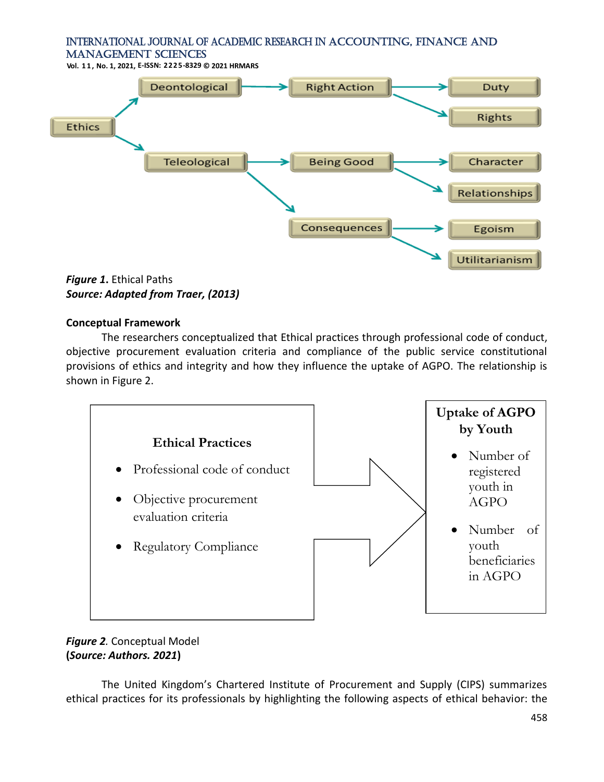**Vol. 1 1 , No. 1, 2021, E-ISSN: 2225-8329 © 2021 HRMARS**



*Figure 1***.** Ethical Paths *Source: Adapted from Traer, (2013)*

## **Conceptual Framework**

The researchers conceptualized that Ethical practices through professional code of conduct, objective procurement evaluation criteria and compliance of the public service constitutional provisions of ethics and integrity and how they influence the uptake of AGPO. The relationship is shown in Figure 2.



# *Figure 2.* Conceptual Model **(***Source: Authors. 2021***)**

The United Kingdom's Chartered Institute of Procurement and Supply (CIPS) summarizes ethical practices for its professionals by highlighting the following aspects of ethical behavior: the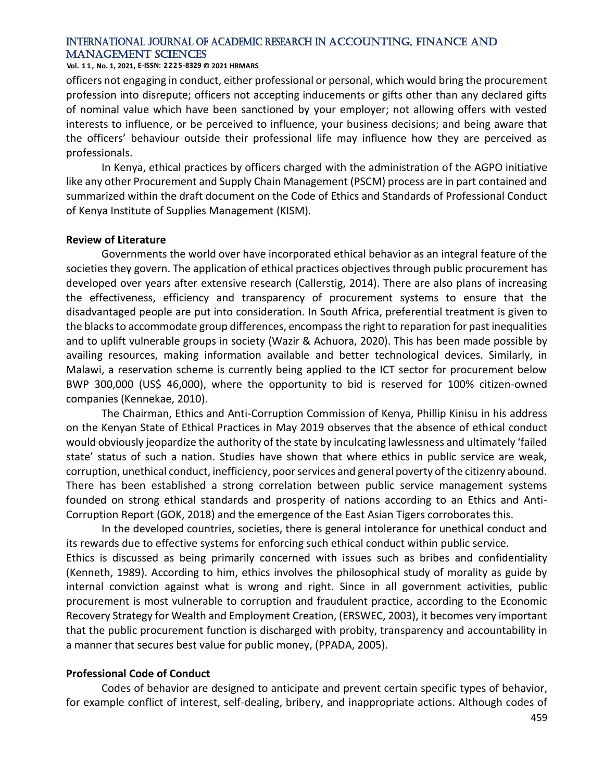#### **Vol. 1 1 , No. 1, 2021, E-ISSN: 2225-8329 © 2021 HRMARS**

officers not engaging in conduct, either professional or personal, which would bring the procurement profession into disrepute; officers not accepting inducements or gifts other than any declared gifts of nominal value which have been sanctioned by your employer; not allowing offers with vested interests to influence, or be perceived to influence, your business decisions; and being aware that the officers' behaviour outside their professional life may influence how they are perceived as professionals.

In Kenya, ethical practices by officers charged with the administration of the AGPO initiative like any other Procurement and Supply Chain Management (PSCM) process are in part contained and summarized within the draft document on the Code of Ethics and Standards of Professional Conduct of Kenya Institute of Supplies Management (KISM).

#### **Review of Literature**

Governments the world over have incorporated ethical behavior as an integral feature of the societies they govern. The application of ethical practices objectives through public procurement has developed over years after extensive research (Callerstig, 2014). There are also plans of increasing the effectiveness, efficiency and transparency of procurement systems to ensure that the disadvantaged people are put into consideration. In South Africa, preferential treatment is given to the blacks to accommodate group differences, encompass the right to reparation for past inequalities and to uplift vulnerable groups in society (Wazir & Achuora, 2020). This has been made possible by availing resources, making information available and better technological devices. Similarly, in Malawi, a reservation scheme is currently being applied to the ICT sector for procurement below BWP 300,000 (US\$ 46,000), where the opportunity to bid is reserved for 100% citizen-owned companies (Kennekae, 2010).

The Chairman, Ethics and Anti-Corruption Commission of Kenya, Phillip Kinisu in his address on the Kenyan State of Ethical Practices in May 2019 observes that the absence of ethical conduct would obviously jeopardize the authority of the state by inculcating lawlessness and ultimately 'failed state' status of such a nation. Studies have shown that where ethics in public service are weak, corruption, unethical conduct, inefficiency, poor services and general poverty of the citizenry abound. There has been established a strong correlation between public service management systems founded on strong ethical standards and prosperity of nations according to an Ethics and Anti-Corruption Report (GOK, 2018) and the emergence of the East Asian Tigers corroborates this.

In the developed countries, societies, there is general intolerance for unethical conduct and its rewards due to effective systems for enforcing such ethical conduct within public service. Ethics is discussed as being primarily concerned with issues such as bribes and confidentiality (Kenneth, 1989). According to him, ethics involves the philosophical study of morality as guide by internal conviction against what is wrong and right. Since in all government activities, public procurement is most vulnerable to corruption and fraudulent practice, according to the Economic Recovery Strategy for Wealth and Employment Creation, (ERSWEC, 2003), it becomes very important that the public procurement function is discharged with probity, transparency and accountability in a manner that secures best value for public money, (PPADA, 2005).

#### **Professional Code of Conduct**

Codes of behavior are designed to anticipate and prevent certain specific types of behavior, for example conflict of interest, self-dealing, bribery, and inappropriate actions. Although codes of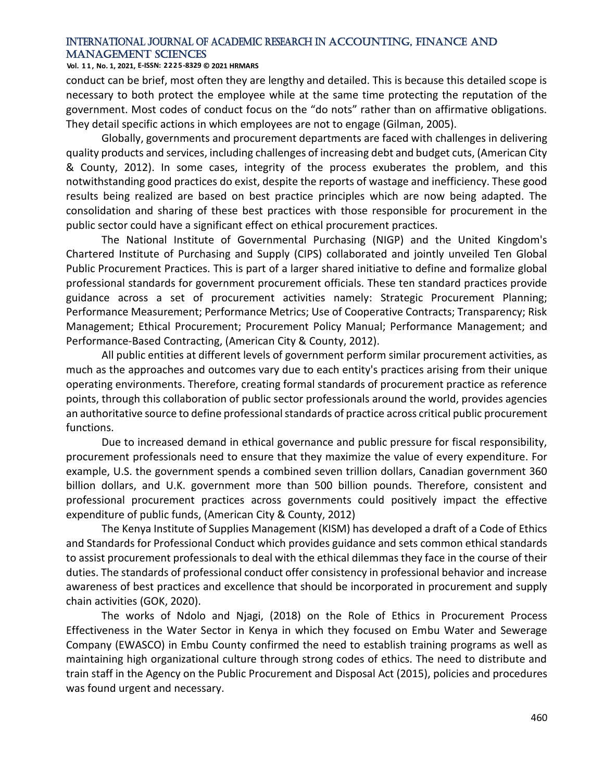#### **Vol. 1 1 , No. 1, 2021, E-ISSN: 2225-8329 © 2021 HRMARS**

conduct can be brief, most often they are lengthy and detailed. This is because this detailed scope is necessary to both protect the employee while at the same time protecting the reputation of the government. Most codes of conduct focus on the "do nots" rather than on affirmative obligations. They detail specific actions in which employees are not to engage (Gilman, 2005).

Globally, governments and procurement departments are faced with challenges in delivering quality products and services, including challenges of increasing debt and budget cuts, (American City & County, 2012). In some cases, integrity of the process exuberates the problem, and this notwithstanding good practices do exist, despite the reports of wastage and inefficiency. These good results being realized are based on best practice principles which are now being adapted. The consolidation and sharing of these best practices with those responsible for procurement in the public sector could have a significant effect on ethical procurement practices.

The National Institute of Governmental Purchasing (NIGP) and the United Kingdom's Chartered Institute of Purchasing and Supply (CIPS) collaborated and jointly unveiled Ten Global Public Procurement Practices. This is part of a larger shared initiative to define and formalize global professional standards for government procurement officials. These ten standard practices provide guidance across a set of procurement activities namely: Strategic Procurement Planning; Performance Measurement; Performance Metrics; Use of Cooperative Contracts; Transparency; Risk Management; Ethical Procurement; Procurement Policy Manual; Performance Management; and Performance-Based Contracting, (American City & County, 2012).

All public entities at different levels of government perform similar procurement activities, as much as the approaches and outcomes vary due to each entity's practices arising from their unique operating environments. Therefore, creating formal standards of procurement practice as reference points, through this collaboration of public sector professionals around the world, provides agencies an authoritative source to define professional standards of practice across critical public procurement functions.

Due to increased demand in ethical governance and public pressure for fiscal responsibility, procurement professionals need to ensure that they maximize the value of every expenditure. For example, U.S. the government spends a combined seven trillion dollars, Canadian government 360 billion dollars, and U.K. government more than 500 billion pounds. Therefore, consistent and professional procurement practices across governments could positively impact the effective expenditure of public funds, (American City & County, 2012)

The Kenya Institute of Supplies Management (KISM) has developed a draft of a Code of Ethics and Standards for Professional Conduct which provides guidance and sets common ethical standards to assist procurement professionals to deal with the ethical dilemmas they face in the course of their duties. The standards of professional conduct offer consistency in professional behavior and increase awareness of best practices and excellence that should be incorporated in procurement and supply chain activities (GOK, 2020).

The works of Ndolo and Njagi, (2018) on the Role of Ethics in Procurement Process Effectiveness in the Water Sector in Kenya in which they focused on Embu Water and Sewerage Company (EWASCO) in Embu County confirmed the need to establish training programs as well as maintaining high organizational culture through strong codes of ethics. The need to distribute and train staff in the Agency on the Public Procurement and Disposal Act (2015), policies and procedures was found urgent and necessary.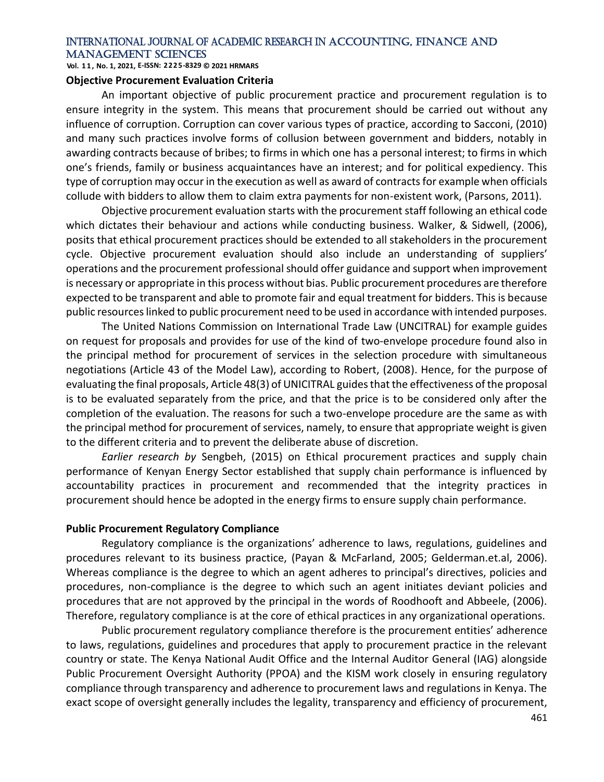**Vol. 1 1 , No. 1, 2021, E-ISSN: 2225-8329 © 2021 HRMARS**

## **Objective Procurement Evaluation Criteria**

An important objective of public procurement practice and procurement regulation is to ensure integrity in the system. This means that procurement should be carried out without any influence of corruption. Corruption can cover various types of practice, according to Sacconi, (2010) and many such practices involve forms of collusion between government and bidders, notably in awarding contracts because of bribes; to firms in which one has a personal interest; to firms in which one's friends, family or business acquaintances have an interest; and for political expediency. This type of corruption may occur in the execution as well as award of contracts for example when officials collude with bidders to allow them to claim extra payments for non-existent work, (Parsons, 2011).

Objective procurement evaluation starts with the procurement staff following an ethical code which dictates their behaviour and actions while conducting business. Walker, & Sidwell, (2006), posits that ethical procurement practices should be extended to all stakeholders in the procurement cycle. Objective procurement evaluation should also include an understanding of suppliers' operations and the procurement professional should offer guidance and support when improvement is necessary or appropriate in this process without bias. Public procurement procedures are therefore expected to be transparent and able to promote fair and equal treatment for bidders. This is because public resources linked to public procurement need to be used in accordance with intended purposes.

The United Nations Commission on International Trade Law (UNCITRAL) for example guides on request for proposals and provides for use of the kind of two-envelope procedure found also in the principal method for procurement of services in the selection procedure with simultaneous negotiations (Article 43 of the Model Law), according to Robert, (2008). Hence, for the purpose of evaluating the final proposals, Article 48(3) of UNICITRAL guides that the effectiveness of the proposal is to be evaluated separately from the price, and that the price is to be considered only after the completion of the evaluation. The reasons for such a two-envelope procedure are the same as with the principal method for procurement of services, namely, to ensure that appropriate weight is given to the different criteria and to prevent the deliberate abuse of discretion.

*Earlier research by* Sengbeh, (2015) on Ethical procurement practices and supply chain performance of Kenyan Energy Sector established that supply chain performance is influenced by accountability practices in procurement and recommended that the integrity practices in procurement should hence be adopted in the energy firms to ensure supply chain performance.

#### **Public Procurement Regulatory Compliance**

Regulatory compliance is the organizations' adherence to laws, regulations, guidelines and procedures relevant to its business practice, (Payan & McFarland, 2005; Gelderman.et.al, 2006). Whereas compliance is the degree to which an agent adheres to principal's directives, policies and procedures, non-compliance is the degree to which such an agent initiates deviant policies and procedures that are not approved by the principal in the words of Roodhooft and Abbeele, (2006). Therefore, regulatory compliance is at the core of ethical practices in any organizational operations.

Public procurement regulatory compliance therefore is the procurement entities' adherence to laws, regulations, guidelines and procedures that apply to procurement practice in the relevant country or state. The Kenya National Audit Office and the Internal Auditor General (IAG) alongside Public Procurement Oversight Authority (PPOA) and the KISM work closely in ensuring regulatory compliance through transparency and adherence to procurement laws and regulations in Kenya. The exact scope of oversight generally includes the legality, transparency and efficiency of procurement,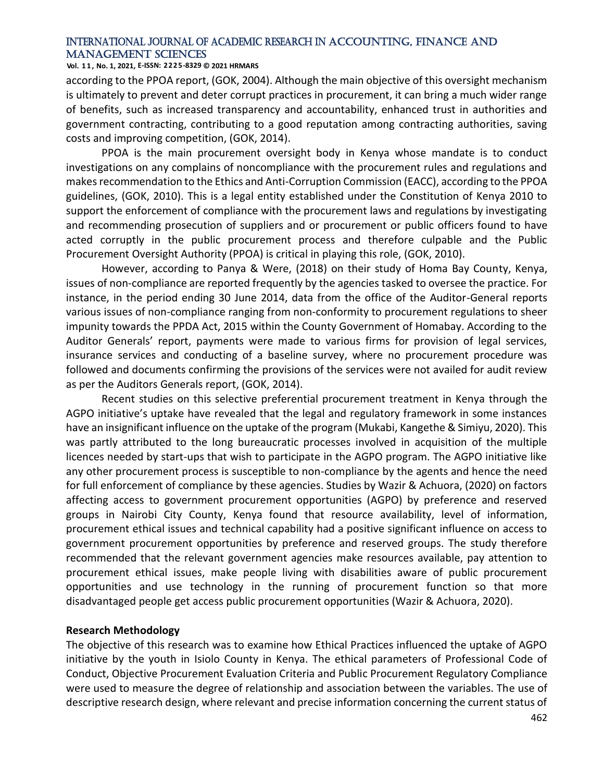**Vol. 1 1 , No. 1, 2021, E-ISSN: 2225-8329 © 2021 HRMARS**

according to the PPOA report, (GOK, 2004). Although the main objective of this oversight mechanism is ultimately to prevent and deter corrupt practices in procurement, it can bring a much wider range of benefits, such as increased transparency and accountability, enhanced trust in authorities and government contracting, contributing to a good reputation among contracting authorities, saving costs and improving competition, (GOK, 2014).

PPOA is the main procurement oversight body in Kenya whose mandate is to conduct investigations on any complains of noncompliance with the procurement rules and regulations and makes recommendation to the Ethics and Anti-Corruption Commission (EACC), according to the PPOA guidelines, (GOK, 2010). This is a legal entity established under the Constitution of Kenya 2010 to support the enforcement of compliance with the procurement laws and regulations by investigating and recommending prosecution of suppliers and or procurement or public officers found to have acted corruptly in the public procurement process and therefore culpable and the Public Procurement Oversight Authority (PPOA) is critical in playing this role, (GOK, 2010).

However, according to Panya & Were, (2018) on their study of Homa Bay County, Kenya, issues of non-compliance are reported frequently by the agencies tasked to oversee the practice. For instance, in the period ending 30 June 2014, data from the office of the Auditor-General reports various issues of non-compliance ranging from non-conformity to procurement regulations to sheer impunity towards the PPDA Act, 2015 within the County Government of Homabay. According to the Auditor Generals' report, payments were made to various firms for provision of legal services, insurance services and conducting of a baseline survey, where no procurement procedure was followed and documents confirming the provisions of the services were not availed for audit review as per the Auditors Generals report, (GOK, 2014).

Recent studies on this selective preferential procurement treatment in Kenya through the AGPO initiative's uptake have revealed that the legal and regulatory framework in some instances have an insignificant influence on the uptake of the program (Mukabi, Kangethe & Simiyu, 2020). This was partly attributed to the long bureaucratic processes involved in acquisition of the multiple licences needed by start-ups that wish to participate in the AGPO program. The AGPO initiative like any other procurement process is susceptible to non-compliance by the agents and hence the need for full enforcement of compliance by these agencies. Studies by Wazir & Achuora, (2020) on factors affecting access to government procurement opportunities (AGPO) by preference and reserved groups in Nairobi City County, Kenya found that resource availability, level of information, procurement ethical issues and technical capability had a positive significant influence on access to government procurement opportunities by preference and reserved groups. The study therefore recommended that the relevant government agencies make resources available, pay attention to procurement ethical issues, make people living with disabilities aware of public procurement opportunities and use technology in the running of procurement function so that more disadvantaged people get access public procurement opportunities (Wazir & Achuora, 2020).

### **Research Methodology**

The objective of this research was to examine how Ethical Practices influenced the uptake of AGPO initiative by the youth in Isiolo County in Kenya. The ethical parameters of Professional Code of Conduct, Objective Procurement Evaluation Criteria and Public Procurement Regulatory Compliance were used to measure the degree of relationship and association between the variables. The use of descriptive research design, where relevant and precise information concerning the current status of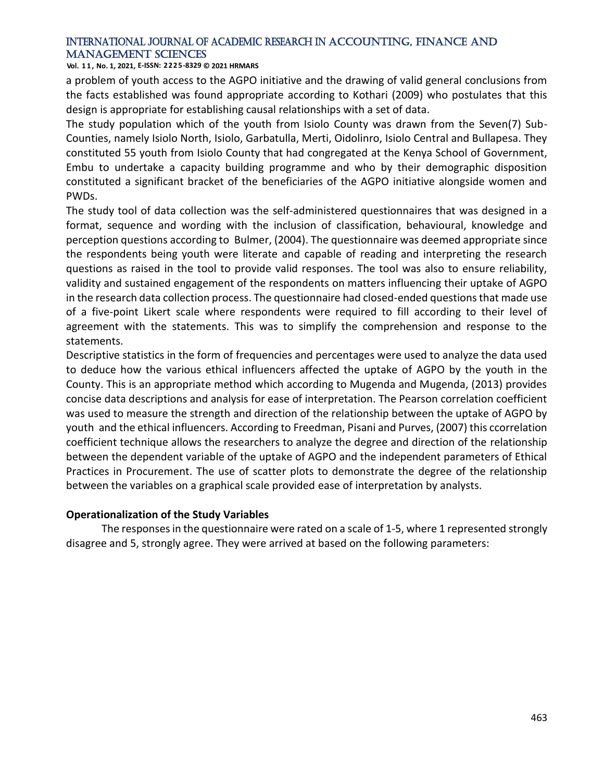**Vol. 1 1 , No. 1, 2021, E-ISSN: 2225-8329 © 2021 HRMARS**

a problem of youth access to the AGPO initiative and the drawing of valid general conclusions from the facts established was found appropriate according to Kothari (2009) who postulates that this design is appropriate for establishing causal relationships with a set of data.

The study population which of the youth from Isiolo County was drawn from the Seven(7) Sub-Counties, namely Isiolo North, Isiolo, Garbatulla, Merti, Oidolinro, Isiolo Central and Bullapesa. They constituted 55 youth from Isiolo County that had congregated at the Kenya School of Government, Embu to undertake a capacity building programme and who by their demographic disposition constituted a significant bracket of the beneficiaries of the AGPO initiative alongside women and PWDs.

The study tool of data collection was the self-administered questionnaires that was designed in a format, sequence and wording with the inclusion of classification, behavioural, knowledge and perception questions according to Bulmer, (2004). The questionnaire was deemed appropriate since the respondents being youth were literate and capable of reading and interpreting the research questions as raised in the tool to provide valid responses. The tool was also to ensure reliability, validity and sustained engagement of the respondents on matters influencing their uptake of AGPO in the research data collection process. The questionnaire had closed-ended questions that made use of a five-point Likert scale where respondents were required to fill according to their level of agreement with the statements. This was to simplify the comprehension and response to the statements.

Descriptive statistics in the form of frequencies and percentages were used to analyze the data used to deduce how the various ethical influencers affected the uptake of AGPO by the youth in the County. This is an appropriate method which according to Mugenda and Mugenda, (2013) provides concise data descriptions and analysis for ease of interpretation. The Pearson correlation coefficient was used to measure the strength and direction of the relationship between the uptake of AGPO by youth and the ethical influencers. According to Freedman, Pisani and Purves, (2007) this ccorrelation coefficient technique allows the researchers to analyze the degree and direction of the relationship between the dependent variable of the uptake of AGPO and the independent parameters of Ethical Practices in Procurement. The use of scatter plots to demonstrate the degree of the relationship between the variables on a graphical scale provided ease of interpretation by analysts.

## **Operationalization of the Study Variables**

The responses in the questionnaire were rated on a scale of 1-5, where 1 represented strongly disagree and 5, strongly agree. They were arrived at based on the following parameters: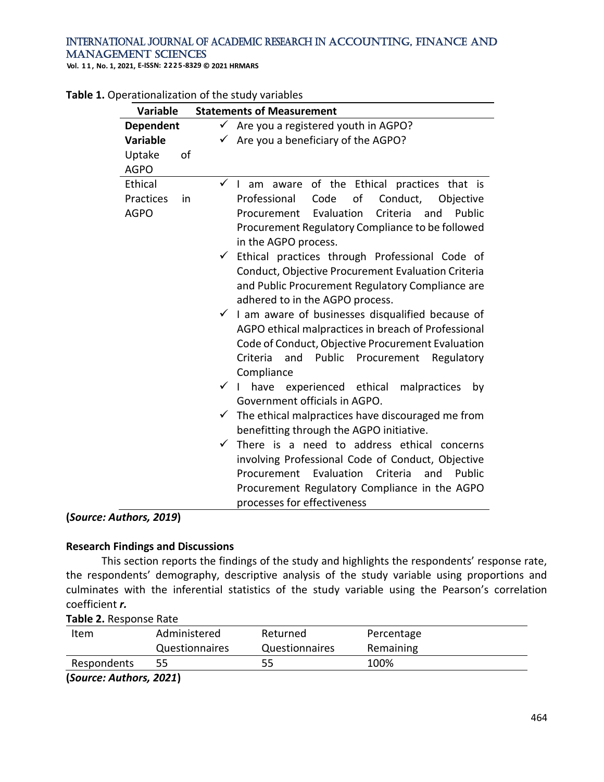**Vol. 1 1 , No. 1, 2021, E-ISSN: 2225-8329 © 2021 HRMARS**

| <b>Variable</b>                           | <b>Statements of Measurement</b>                                                                                                                                                                                                                      |
|-------------------------------------------|-------------------------------------------------------------------------------------------------------------------------------------------------------------------------------------------------------------------------------------------------------|
| <b>Dependent</b><br><b>Variable</b>       | $\checkmark$<br>Are you a registered youth in AGPO?<br>Are you a beneficiary of the AGPO?                                                                                                                                                             |
| Uptake<br>of<br><b>AGPO</b>               |                                                                                                                                                                                                                                                       |
| Ethical<br>Practices<br>in<br><b>AGPO</b> | $\checkmark$ I am aware of the Ethical practices that is<br>of<br>Professional<br>Code<br>Conduct,<br>Objective<br>Evaluation<br>Criteria<br>Public<br>Procurement<br>and<br>Procurement Regulatory Compliance to be followed<br>in the AGPO process. |
|                                           | Ethical practices through Professional Code of<br>Conduct, Objective Procurement Evaluation Criteria<br>and Public Procurement Regulatory Compliance are<br>adhered to in the AGPO process.                                                           |
|                                           | $\checkmark$ I am aware of businesses disqualified because of<br>AGPO ethical malpractices in breach of Professional<br>Code of Conduct, Objective Procurement Evaluation<br>Criteria<br>and Public Procurement<br>Regulatory<br>Compliance           |
|                                           | $\checkmark$  <br>have experienced ethical malpractices<br>by<br>Government officials in AGPO.                                                                                                                                                        |
|                                           | The ethical malpractices have discouraged me from<br>$\checkmark$<br>benefitting through the AGPO initiative.                                                                                                                                         |
|                                           | There is a need to address ethical concerns<br>✓<br>involving Professional Code of Conduct, Objective<br>Procurement Evaluation Criteria<br>and<br>Public<br>Procurement Regulatory Compliance in the AGPO<br>processes for effectiveness             |

**(***Source: Authors, 2019***)**

## **Research Findings and Discussions**

This section reports the findings of the study and highlights the respondents' response rate, the respondents' demography, descriptive analysis of the study variable using proportions and culminates with the inferential statistics of the study variable using the Pearson's correlation coefficient *r.* 

|  | Table 2. Response Rate |
|--|------------------------|
|--|------------------------|

| Item                    | Administered   | Returned              | Percentage |  |
|-------------------------|----------------|-----------------------|------------|--|
|                         | Questionnaires | <b>Questionnaires</b> | Remaining  |  |
| Respondents             | 55             | 55                    | 100%       |  |
| (Source: Authors, 2021) |                |                       |            |  |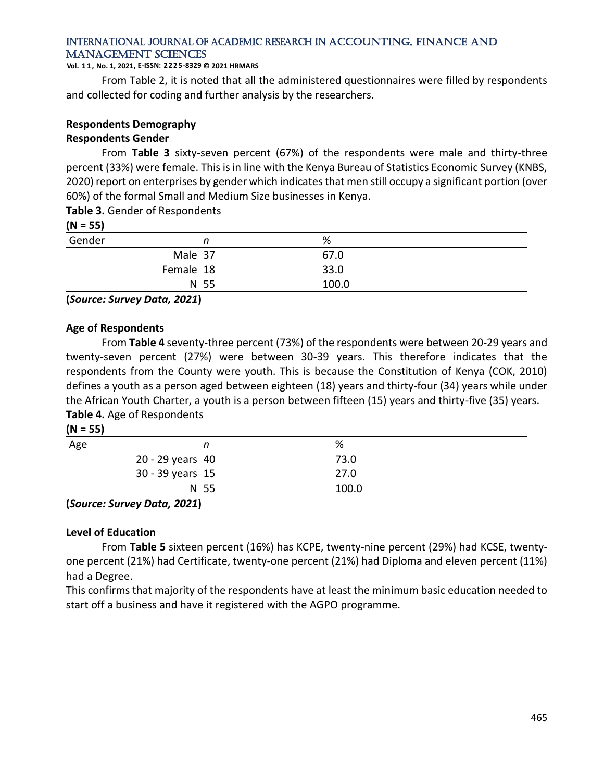#### **Vol. 1 1 , No. 1, 2021, E-ISSN: 2225-8329 © 2021 HRMARS**

From Table 2, it is noted that all the administered questionnaires were filled by respondents and collected for coding and further analysis by the researchers.

## **Respondents Demography**

### **Respondents Gender**

From **Table 3** sixty-seven percent (67%) of the respondents were male and thirty-three percent (33%) were female. This is in line with the Kenya Bureau of Statistics Economic Survey (KNBS, 2020) report on enterprises by gender which indicates that men still occupy a significant portion (over 60%) of the formal Small and Medium Size businesses in Kenya.

## **Table 3.** Gender of Respondents

## **(N = 55)**

| $\cdots$ $\cdots$ |           |       |
|-------------------|-----------|-------|
| Gender            |           | %     |
|                   | Male 37   | 67.0  |
|                   | Female 18 | 33.0  |
|                   | N 55      | 100.0 |

**(***Source: Survey Data, 2021***)**

## **Age of Respondents**

From **Table 4** seventy-three percent (73%) of the respondents were between 20-29 years and twenty-seven percent (27%) were between 30-39 years. This therefore indicates that the respondents from the County were youth. This is because the Constitution of Kenya (COK, 2010) defines a youth as a person aged between eighteen (18) years and thirty-four (34) years while under the African Youth Charter, a youth is a person between fifteen (15) years and thirty-five (35) years. **Table 4.** Age of Respondents

| N |  |
|---|--|
|---|--|

| Age |                  | %     |  |
|-----|------------------|-------|--|
|     | 20 - 29 years 40 | 73.0  |  |
|     | 30 - 39 years 15 | 27.0  |  |
|     | N 55             | 100.0 |  |
|     | __               |       |  |

#### **(***Source: Survey Data, 2021***)**

## **Level of Education**

From **Table 5** sixteen percent (16%) has KCPE, twenty-nine percent (29%) had KCSE, twentyone percent (21%) had Certificate, twenty-one percent (21%) had Diploma and eleven percent (11%) had a Degree.

This confirms that majority of the respondents have at least the minimum basic education needed to start off a business and have it registered with the AGPO programme.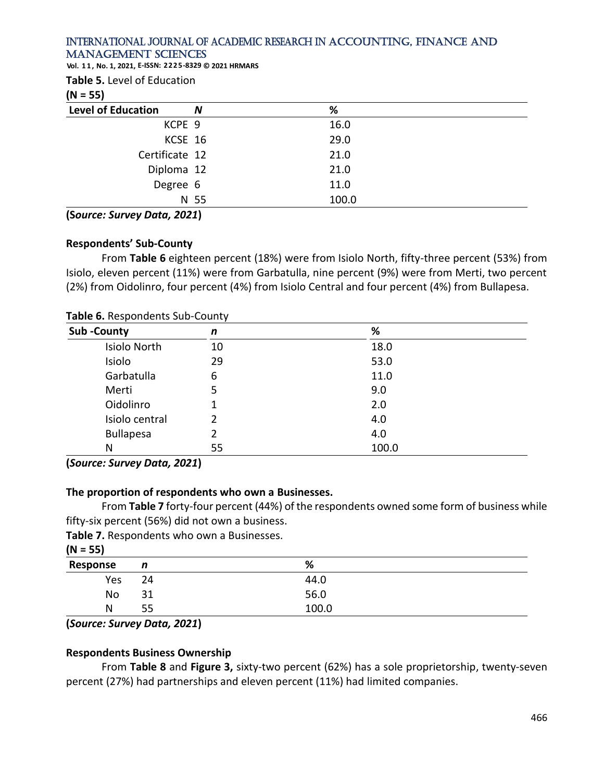**Vol. 1 1 , No. 1, 2021, E-ISSN: 2225-8329 © 2021 HRMARS**

| Table 5. Level of Education |  |
|-----------------------------|--|
|-----------------------------|--|

## **(N = 55)**

| $(1 - 3)$                 |      |       |
|---------------------------|------|-------|
| <b>Level of Education</b> | N    | %     |
| KCPE 9                    |      | 16.0  |
| KCSE 16                   |      | 29.0  |
| Certificate 12            |      | 21.0  |
| Diploma 12                |      | 21.0  |
| Degree 6                  |      | 11.0  |
|                           | N 55 | 100.0 |

## **(S***ource: Survey Data, 2021***)**

## **Respondents' Sub-County**

From **Table 6** eighteen percent (18%) were from Isiolo North, fifty-three percent (53%) from Isiolo, eleven percent (11%) were from Garbatulla, nine percent (9%) were from Merti, two percent (2%) from Oidolinro, four percent (4%) from Isiolo Central and four percent (4%) from Bullapesa.

| Sub-County       | n  | %     |  |
|------------------|----|-------|--|
| Isiolo North     | 10 | 18.0  |  |
| Isiolo           | 29 | 53.0  |  |
| Garbatulla       | 6  | 11.0  |  |
| Merti            | 5  | 9.0   |  |
| Oidolinro        |    | 2.0   |  |
| Isiolo central   | 2  | 4.0   |  |
| <b>Bullapesa</b> | 2  | 4.0   |  |
| N                | 55 | 100.0 |  |

## **Table 6.** Respondents Sub-County

**(***Source: Survey Data, 2021***)**

# **The proportion of respondents who own a Businesses.**

From **Table 7** forty-four percent (44%) of the respondents owned some form of business while fifty-six percent (56%) did not own a business.

**Table 7.** Respondents who own a Businesses.

| $(N = 55)$ |    |       |  |
|------------|----|-------|--|
| Response   | n  | %     |  |
| Yes        | 24 | 44.0  |  |
| No         | 31 | 56.0  |  |
| N          | 55 | 100.0 |  |

**(***Source: Survey Data, 2021***)**

## **Respondents Business Ownership**

From **Table 8** and **Figure 3,** sixty-two percent (62%) has a sole proprietorship, twenty-seven percent (27%) had partnerships and eleven percent (11%) had limited companies.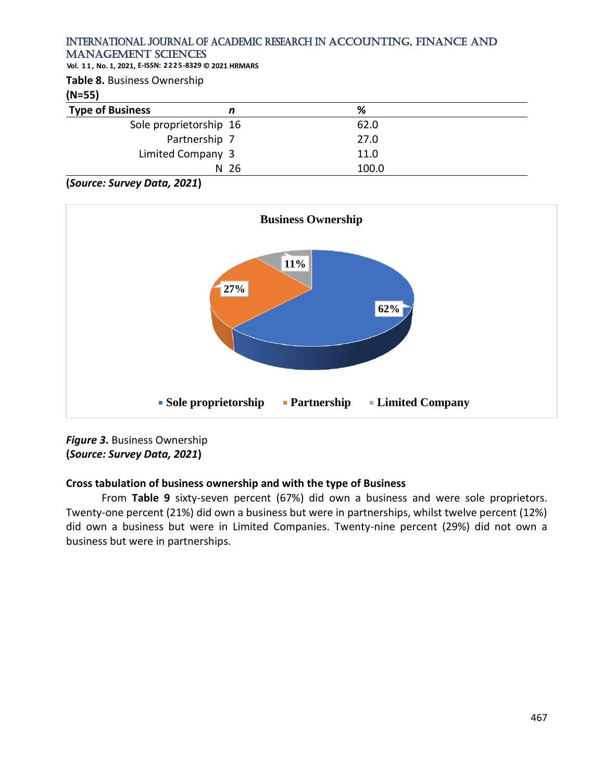**Vol. 1 1 , No. 1, 2021, E-ISSN: 2225-8329 © 2021 HRMARS**

**Table 8.** Business Ownership

**(N=55)**

| $11 - 331$              |                 |       |  |
|-------------------------|-----------------|-------|--|
| <b>Type of Business</b> |                 | %     |  |
| Sole proprietorship 16  |                 | 62.0  |  |
|                         | Partnership 7   | 27.0  |  |
| Limited Company 3       |                 | 11.0  |  |
|                         | N <sub>26</sub> | 100.0 |  |

**(***Source: Survey Data, 2021***)**



*Figure 3***.** Business Ownership **(***Source: Survey Data, 2021***)**

# **Cross tabulation of business ownership and with the type of Business**

From **Table 9** sixty-seven percent (67%) did own a business and were sole proprietors. Twenty-one percent (21%) did own a business but were in partnerships, whilst twelve percent (12%) did own a business but were in Limited Companies. Twenty-nine percent (29%) did not own a business but were in partnerships.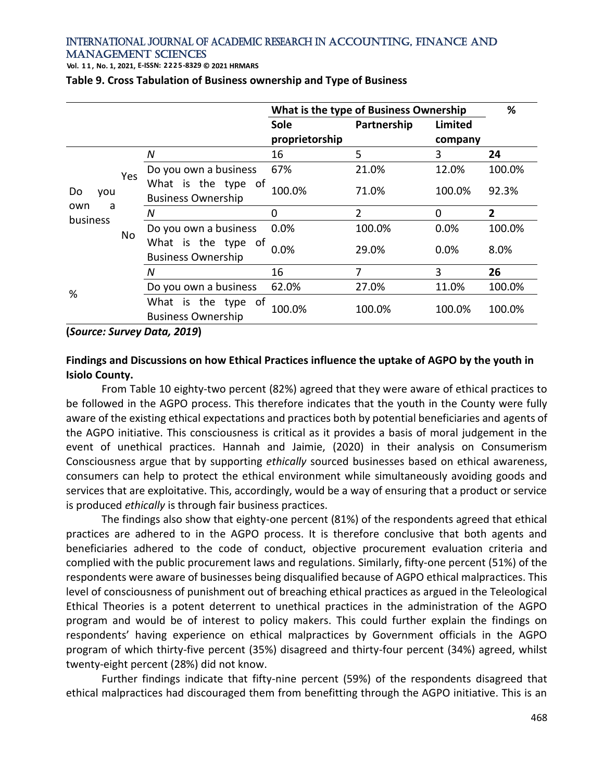**Vol. 1 1 , No. 1, 2021, E-ISSN: 2225-8329 © 2021 HRMARS**

|                                   |           |                                                  | What is the type of Business Ownership |             |          | %              |
|-----------------------------------|-----------|--------------------------------------------------|----------------------------------------|-------------|----------|----------------|
|                                   |           |                                                  | <b>Sole</b>                            | Partnership | Limited  |                |
|                                   |           |                                                  | proprietorship                         |             | company  |                |
| Do<br>you<br>own<br>a<br>business | Yes<br>No | N                                                | 16                                     | 5           | 3        | 24             |
|                                   |           | Do you own a business                            | 67%                                    | 21.0%       | 12.0%    | 100.0%         |
|                                   |           | What is the type of<br><b>Business Ownership</b> | 100.0%                                 | 71.0%       | 100.0%   | 92.3%          |
|                                   |           | Ν                                                | $\Omega$                               | 2           | $\Omega$ | $\overline{2}$ |
|                                   |           | Do you own a business                            | 0.0%                                   | 100.0%      | 0.0%     | 100.0%         |
|                                   |           | What is the type of<br><b>Business Ownership</b> | 0.0%                                   | 29.0%       | 0.0%     | 8.0%           |
|                                   |           | N                                                | 16                                     | 7           | 3        | 26             |
| %                                 |           | Do you own a business                            | 62.0%                                  | 27.0%       | 11.0%    | 100.0%         |
|                                   |           | What is the type of<br><b>Business Ownership</b> | 100.0%                                 | 100.0%      | 100.0%   | 100.0%         |

**Table 9. Cross Tabulation of Business ownership and Type of Business** 

**(***Source: Survey Data, 2019***)**

## **Findings and Discussions on how Ethical Practices influence the uptake of AGPO by the youth in Isiolo County.**

From Table 10 eighty-two percent (82%) agreed that they were aware of ethical practices to be followed in the AGPO process. This therefore indicates that the youth in the County were fully aware of the existing ethical expectations and practices both by potential beneficiaries and agents of the AGPO initiative. This consciousness is critical as it provides a basis of moral judgement in the event of unethical practices. Hannah and Jaimie, (2020) in their analysis on Consumerism Consciousness argue that by supporting *ethically* sourced businesses based on ethical awareness, consumers can help to protect the ethical environment while simultaneously avoiding goods and services that are exploitative. This, accordingly, would be a way of ensuring that a product or service is produced *ethically* is through fair business practices.

The findings also show that eighty-one percent (81%) of the respondents agreed that ethical practices are adhered to in the AGPO process. It is therefore conclusive that both agents and beneficiaries adhered to the code of conduct, objective procurement evaluation criteria and complied with the public procurement laws and regulations. Similarly, fifty-one percent (51%) of the respondents were aware of businesses being disqualified because of AGPO ethical malpractices. This level of consciousness of punishment out of breaching ethical practices as argued in the Teleological Ethical Theories is a potent deterrent to unethical practices in the administration of the AGPO program and would be of interest to policy makers. This could further explain the findings on respondents' having experience on ethical malpractices by Government officials in the AGPO program of which thirty-five percent (35%) disagreed and thirty-four percent (34%) agreed, whilst twenty-eight percent (28%) did not know.

Further findings indicate that fifty-nine percent (59%) of the respondents disagreed that ethical malpractices had discouraged them from benefitting through the AGPO initiative. This is an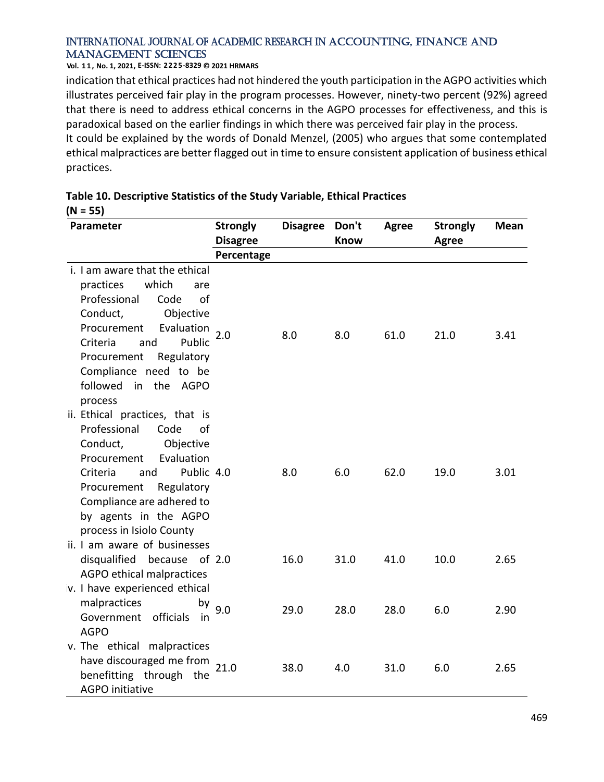#### **Vol. 1 1 , No. 1, 2021, E-ISSN: 2225-8329 © 2021 HRMARS**

**(N = 55)**

indication that ethical practices had not hindered the youth participation in the AGPO activities which illustrates perceived fair play in the program processes. However, ninety-two percent (92%) agreed that there is need to address ethical concerns in the AGPO processes for effectiveness, and this is paradoxical based on the earlier findings in which there was perceived fair play in the process.

It could be explained by the words of Donald Menzel, (2005) who argues that some contemplated ethical malpractices are better flagged out in time to ensure consistent application of business ethical practices.

| Parameter                            | <b>Strongly</b> | <b>Disagree</b> | Don't       | <b>Agree</b> | <b>Strongly</b> | Mean |
|--------------------------------------|-----------------|-----------------|-------------|--------------|-----------------|------|
|                                      | <b>Disagree</b> |                 | <b>Know</b> |              | Agree           |      |
|                                      | Percentage      |                 |             |              |                 |      |
| i. I am aware that the ethical       |                 |                 |             |              |                 |      |
| practices<br>which<br>are            |                 |                 |             |              |                 |      |
| Professional<br>Code<br>of           |                 |                 |             |              |                 |      |
| Conduct,<br>Objective                |                 |                 |             |              |                 |      |
| Evaluation<br>Procurement            | 2.0             | 8.0             | 8.0         | 61.0         | 21.0            | 3.41 |
| Public<br>Criteria<br>and            |                 |                 |             |              |                 |      |
| Procurement<br>Regulatory            |                 |                 |             |              |                 |      |
| Compliance need to be                |                 |                 |             |              |                 |      |
| followed in the AGPO                 |                 |                 |             |              |                 |      |
| process                              |                 |                 |             |              |                 |      |
| ii. Ethical practices, that is       |                 |                 |             |              |                 |      |
| Professional<br>Code<br>0f           |                 |                 |             |              |                 |      |
| Conduct,<br>Objective                |                 |                 |             |              |                 |      |
| Evaluation<br>Procurement            |                 |                 |             |              |                 |      |
| Public 4.0<br>Criteria<br>and        |                 | 8.0             | 6.0         | 62.0         | 19.0            | 3.01 |
| Procurement<br>Regulatory            |                 |                 |             |              |                 |      |
| Compliance are adhered to            |                 |                 |             |              |                 |      |
| by agents in the AGPO                |                 |                 |             |              |                 |      |
| process in Isiolo County             |                 |                 |             |              |                 |      |
| ii. I am aware of businesses         |                 |                 |             |              |                 |      |
| disqualified because of 2.0          |                 | 16.0            | 31.0        | 41.0         | 10.0            | 2.65 |
| AGPO ethical malpractices            |                 |                 |             |              |                 |      |
| v. I have experienced ethical        |                 |                 |             |              |                 |      |
|                                      |                 |                 |             |              |                 |      |
| malpractices<br>Government officials | by $9.0$        | 29.0            | 28.0        | 28.0         | 6.0             | 2.90 |
| in<br><b>AGPO</b>                    |                 |                 |             |              |                 |      |
|                                      |                 |                 |             |              |                 |      |
| v. The ethical malpractices          |                 |                 |             |              |                 |      |
| have discouraged me from             | 21.0            | 38.0            | 4.0         | 31.0         | 6.0             | 2.65 |
| benefitting through the              |                 |                 |             |              |                 |      |
| <b>AGPO</b> initiative               |                 |                 |             |              |                 |      |

# **Table 10. Descriptive Statistics of the Study Variable, Ethical Practices**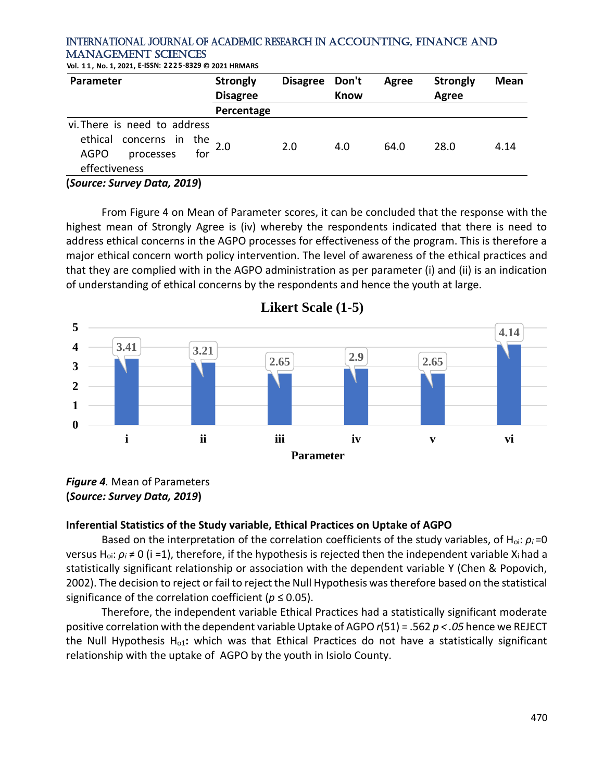**Vol. 1 1 , No. 1, 2021, E-ISSN: 2225-8329 © 2021 HRMARS**

| Parameter                                                                                                | <b>Strongly</b> | <b>Disagree</b> | Don't       | Agree | <b>Strongly</b> | <b>Mean</b> |
|----------------------------------------------------------------------------------------------------------|-----------------|-----------------|-------------|-------|-----------------|-------------|
|                                                                                                          | <b>Disagree</b> |                 | <b>Know</b> |       | Agree           |             |
|                                                                                                          | Percentage      |                 |             |       |                 |             |
| vi. There is need to address                                                                             |                 |                 |             |       |                 |             |
| ethical concerns in the                                                                                  |                 | 2.0             | 4.0         | 64.0  | 28.0            | 4.14        |
| for<br><b>AGPO</b><br>processes                                                                          |                 |                 |             |       |                 |             |
| effectiveness                                                                                            |                 |                 |             |       |                 |             |
| $\{C_{\alpha}, \ldots, C_{\alpha}, C_{\alpha}, \ldots, C_{\alpha}, C_{\alpha}, C_{\alpha}, C_{\alpha}\}$ |                 |                 |             |       |                 |             |

**(***Source: Survey Data, 2019***)**

From Figure 4 on Mean of Parameter scores, it can be concluded that the response with the highest mean of Strongly Agree is (iv) whereby the respondents indicated that there is need to address ethical concerns in the AGPO processes for effectiveness of the program. This is therefore a major ethical concern worth policy intervention. The level of awareness of the ethical practices and that they are complied with in the AGPO administration as per parameter (i) and (ii) is an indication of understanding of ethical concerns by the respondents and hence the youth at large.



**Likert Scale (1-5)**

## **Inferential Statistics of the Study variable, Ethical Practices on Uptake of AGPO**

Based on the interpretation of the correlation coefficients of the study variables, of Hoi: *ρ<sup>i</sup>* =0 versus Hoi: *ρ<sup>i</sup>* ≠ 0 (i =1), therefore, if the hypothesis is rejected then the independent variable Xi had a statistically significant relationship or association with the dependent variable Y (Chen & Popovich, 2002). The decision to reject or fail to reject the Null Hypothesis was therefore based on the statistical significance of the correlation coefficient ( $p \le 0.05$ ).

Therefore, the independent variable Ethical Practices had a statistically significant moderate positive correlation with the dependent variable Uptake of AGPO *r*(51) = .562 *p < .05* hence we REJECT the Null Hypothesis Ho1**:** which was that Ethical Practices do not have a statistically significant relationship with the uptake of AGPO by the youth in Isiolo County.

*Figure 4.* Mean of Parameters **(***Source: Survey Data, 2019***)**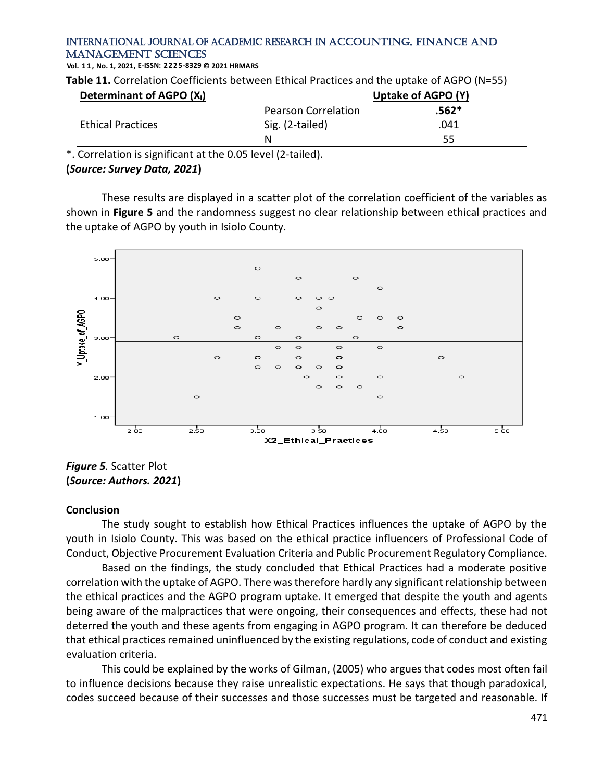**Vol. 1 1 , No. 1, 2021, E-ISSN: 2225-8329 © 2021 HRMARS**

**Table 11.** Correlation Coefficients between Ethical Practices and the uptake of AGPO (N=55)

| Determinant of AGPO (X <sub>i</sub> ) |                            | Uptake of AGPO (Y) |  |  |
|---------------------------------------|----------------------------|--------------------|--|--|
|                                       | <b>Pearson Correlation</b> | $.562*$            |  |  |
| <b>Ethical Practices</b>              | Sig. (2-tailed)            | .041               |  |  |
|                                       | Ν                          | 55                 |  |  |

\*. Correlation is significant at the 0.05 level (2-tailed).

#### **(***Source: Survey Data, 2021***)**

These results are displayed in a scatter plot of the correlation coefficient of the variables as shown in **Figure 5** and the randomness suggest no clear relationship between ethical practices and the uptake of AGPO by youth in Isiolo County.



*Figure 5.* Scatter Plot **(***Source: Authors. 2021***)**

#### **Conclusion**

The study sought to establish how Ethical Practices influences the uptake of AGPO by the youth in Isiolo County. This was based on the ethical practice influencers of Professional Code of Conduct, Objective Procurement Evaluation Criteria and Public Procurement Regulatory Compliance.

Based on the findings, the study concluded that Ethical Practices had a moderate positive correlation with the uptake of AGPO. There was therefore hardly any significant relationship between the ethical practices and the AGPO program uptake. It emerged that despite the youth and agents being aware of the malpractices that were ongoing, their consequences and effects, these had not deterred the youth and these agents from engaging in AGPO program. It can therefore be deduced that ethical practices remained uninfluenced by the existing regulations, code of conduct and existing evaluation criteria.

This could be explained by the works of Gilman, (2005) who argues that codes most often fail to influence decisions because they raise unrealistic expectations. He says that though paradoxical, codes succeed because of their successes and those successes must be targeted and reasonable. If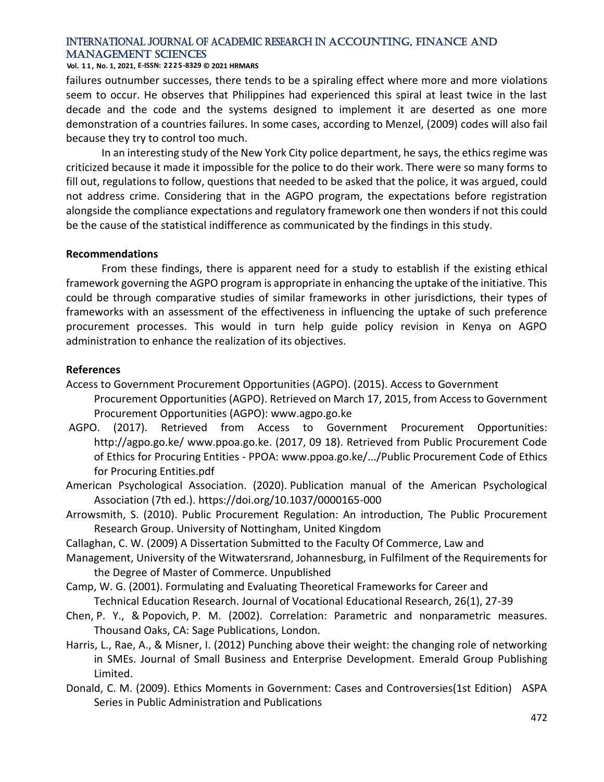#### **Vol. 1 1 , No. 1, 2021, E-ISSN: 2225-8329 © 2021 HRMARS**

failures outnumber successes, there tends to be a spiraling effect where more and more violations seem to occur. He observes that Philippines had experienced this spiral at least twice in the last decade and the code and the systems designed to implement it are deserted as one more demonstration of a countries failures. In some cases, according to Menzel, (2009) codes will also fail because they try to control too much.

In an interesting study of the New York City police department, he says, the ethics regime was criticized because it made it impossible for the police to do their work. There were so many forms to fill out, regulations to follow, questions that needed to be asked that the police, it was argued, could not address crime. Considering that in the AGPO program, the expectations before registration alongside the compliance expectations and regulatory framework one then wonders if not this could be the cause of the statistical indifference as communicated by the findings in this study.

#### **Recommendations**

From these findings, there is apparent need for a study to establish if the existing ethical framework governing the AGPO program is appropriate in enhancing the uptake of the initiative. This could be through comparative studies of similar frameworks in other jurisdictions, their types of frameworks with an assessment of the effectiveness in influencing the uptake of such preference procurement processes. This would in turn help guide policy revision in Kenya on AGPO administration to enhance the realization of its objectives.

#### **References**

Access to Government Procurement Opportunities (AGPO). (2015). Access to Government

- Procurement Opportunities (AGPO). Retrieved on March 17, 2015, from Access to Government Procurement Opportunities (AGPO): www.agpo.go.ke
- AGPO. (2017). Retrieved from Access to Government Procurement Opportunities: http://agpo.go.ke/ www.ppoa.go.ke. (2017, 09 18). Retrieved from Public Procurement Code of Ethics for Procuring Entities - PPOA: www.ppoa.go.ke/.../Public Procurement Code of Ethics for Procuring Entities.pdf
- American Psychological Association. (2020). Publication manual of the American Psychological Association (7th ed.). https://doi.org/10.1037/0000165-000
- Arrowsmith, S. (2010). Public Procurement Regulation: An introduction, The Public Procurement Research Group. University of Nottingham, United Kingdom
- Callaghan, C. W. (2009) A Dissertation Submitted to the Faculty Of Commerce, Law and
- Management, University of the Witwatersrand, Johannesburg, in Fulfilment of the Requirements for the Degree of Master of Commerce. Unpublished
- Camp, W. G. (2001). Formulating and Evaluating Theoretical Frameworks for Career and Technical Education Research. Journal of Vocational Educational Research, 26(1), 27-39
- Chen, P. Y., & Popovich, P. M. (2002). Correlation: Parametric and nonparametric measures. Thousand Oaks, CA: Sage Publications, London.
- Harris, L., Rae, A., & Misner, I. (2012) Punching above their weight: the changing role of networking in SMEs. Journal of Small Business and Enterprise Development. Emerald Group Publishing Limited.
- Donald, C. M. (2009). Ethics Moments in Government: Cases and Controversies(1st Edition) ASPA Series in Public Administration and Publications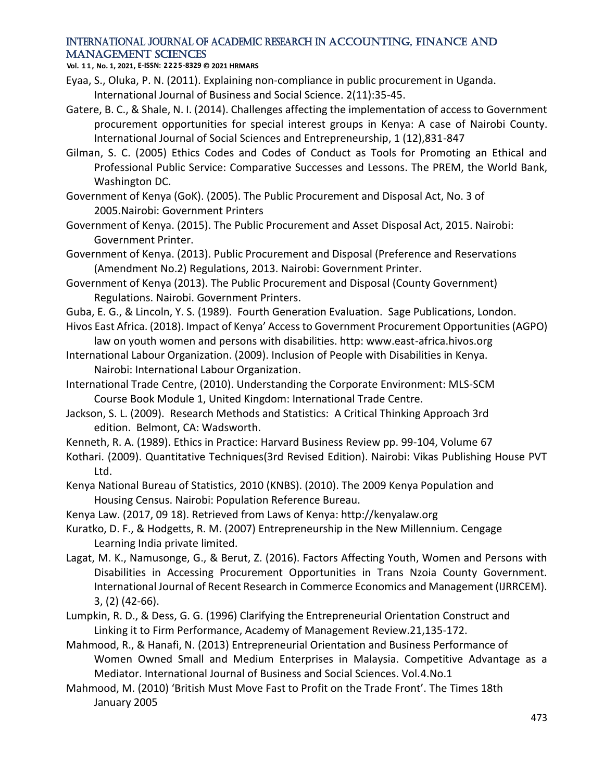**Vol. 1 1 , No. 1, 2021, E-ISSN: 2225-8329 © 2021 HRMARS**

- Eyaa, S., Oluka, P. N. (2011). Explaining non-compliance in public procurement in Uganda. International Journal of Business and Social Science. 2(11):35-45.
- Gatere, B. C., & Shale, N. I. (2014). Challenges affecting the implementation of access to Government procurement opportunities for special interest groups in Kenya: A case of Nairobi County. International Journal of Social Sciences and Entrepreneurship, 1 (12),831-847
- Gilman, S. C. (2005) Ethics Codes and Codes of Conduct as Tools for Promoting an Ethical and Professional Public Service: Comparative Successes and Lessons. The PREM, the World Bank, Washington DC.
- Government of Kenya (GoK). (2005). The Public Procurement and Disposal Act, No. 3 of 2005.Nairobi: Government Printers
- Government of Kenya. (2015). The Public Procurement and Asset Disposal Act, 2015. Nairobi: Government Printer.
- Government of Kenya. (2013). Public Procurement and Disposal (Preference and Reservations (Amendment No.2) Regulations, 2013. Nairobi: Government Printer.
- Government of Kenya (2013). The Public Procurement and Disposal (County Government) Regulations. Nairobi. Government Printers.
- Guba, E. G., & Lincoln, Y. S. (1989). Fourth Generation Evaluation. Sage Publications, London.
- Hivos East Africa. (2018). Impact of Kenya' Access to Government Procurement Opportunities (AGPO) law on youth women and persons with disabilities. http: www.east-africa.hivos.org
- International Labour Organization. (2009). Inclusion of People with Disabilities in Kenya. Nairobi: International Labour Organization.
- International Trade Centre, (2010). Understanding the Corporate Environment: MLS-SCM Course Book Module 1, United Kingdom: International Trade Centre.
- Jackson, S. L. (2009). Research Methods and Statistics: A Critical Thinking Approach 3rd edition. Belmont, CA: Wadsworth.
- Kenneth, R. A. (1989). Ethics in Practice: Harvard Business Review pp. 99-104, Volume 67
- Kothari. (2009). Quantitative Techniques(3rd Revised Edition). Nairobi: Vikas Publishing House PVT Ltd.
- Kenya National Bureau of Statistics, 2010 (KNBS). (2010). The 2009 Kenya Population and Housing Census. Nairobi: Population Reference Bureau.
- Kenya Law. (2017, 09 18). Retrieved from Laws of Kenya: http://kenyalaw.org
- Kuratko, D. F., & Hodgetts, R. M. (2007) Entrepreneurship in the New Millennium. Cengage Learning India private limited.
- Lagat, M. K., Namusonge, G., & Berut, Z. (2016). Factors Affecting Youth, Women and Persons with Disabilities in Accessing Procurement Opportunities in Trans Nzoia County Government. International Journal of Recent Research in Commerce Economics and Management (IJRRCEM). 3, (2) (42-66).
- Lumpkin, R. D., & Dess, G. G. (1996) Clarifying the Entrepreneurial Orientation Construct and Linking it to Firm Performance, Academy of Management Review.21,135-172.
- Mahmood, R., & Hanafi, N. (2013) Entrepreneurial Orientation and Business Performance of Women Owned Small and Medium Enterprises in Malaysia. Competitive Advantage as a Mediator. International Journal of Business and Social Sciences. Vol.4.No.1
- Mahmood, M. (2010) 'British Must Move Fast to Profit on the Trade Front'. The Times 18th January 2005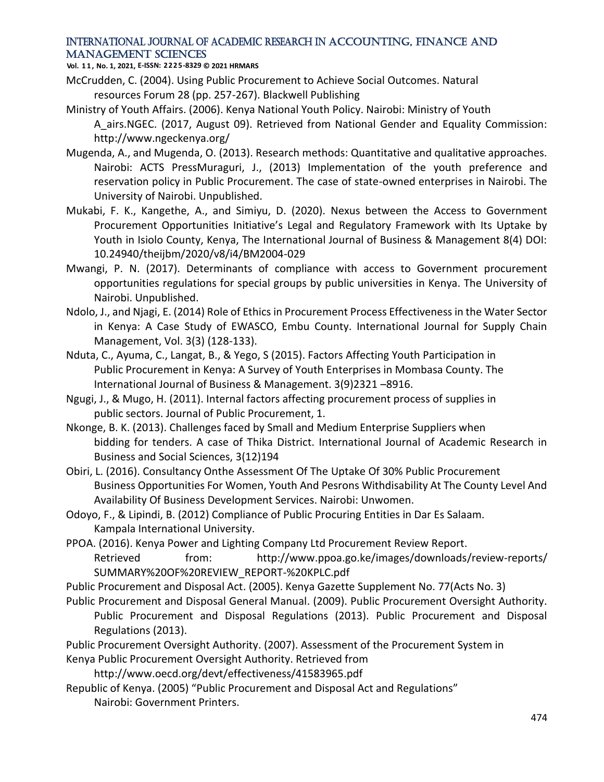**Vol. 1 1 , No. 1, 2021, E-ISSN: 2225-8329 © 2021 HRMARS**

- McCrudden, C. (2004). Using Public Procurement to Achieve Social Outcomes. Natural resources Forum 28 (pp. 257-267). Blackwell Publishing
- Ministry of Youth Affairs. (2006). Kenya National Youth Policy. Nairobi: Ministry of Youth A airs.NGEC. (2017, August 09). Retrieved from National Gender and Equality Commission: http://www.ngeckenya.org/
- Mugenda, A., and Mugenda, O. (2013). Research methods: Quantitative and qualitative approaches. Nairobi: ACTS PressMuraguri, J., (2013) Implementation of the youth preference and reservation policy in Public Procurement. The case of state-owned enterprises in Nairobi. The University of Nairobi. Unpublished.
- Mukabi, F. K., Kangethe, A., and Simiyu, D. (2020). Nexus between the Access to Government Procurement Opportunities Initiative's Legal and Regulatory Framework with Its Uptake by Youth in Isiolo County, Kenya, The International Journal of Business & Management 8(4) DOI: 10.24940/theijbm/2020/v8/i4/BM2004-029
- Mwangi, P. N. (2017). Determinants of compliance with access to Government procurement opportunities regulations for special groups by public universities in Kenya. The University of Nairobi. Unpublished.
- Ndolo, J., and Njagi, E. (2014) Role of Ethics in Procurement Process Effectiveness in the Water Sector in Kenya: A Case Study of EWASCO, Embu County. International Journal for Supply Chain Management, Vol. 3(3) (128-133).
- Nduta, C., Ayuma, C., Langat, B., & Yego, S (2015). Factors Affecting Youth Participation in Public Procurement in Kenya: A Survey of Youth Enterprises in Mombasa County. The International Journal of Business & Management. 3(9)2321 –8916.
- Ngugi, J., & Mugo, H. (2011). Internal factors affecting procurement process of supplies in public sectors. Journal of Public Procurement, 1.
- Nkonge, B. K. (2013). Challenges faced by Small and Medium Enterprise Suppliers when bidding for tenders. A case of Thika District. International Journal of Academic Research in Business and Social Sciences, 3(12)194
- Obiri, L. (2016). Consultancy Onthe Assessment Of The Uptake Of 30% Public Procurement Business Opportunities For Women, Youth And Pesrons Withdisability At The County Level And Availability Of Business Development Services. Nairobi: Unwomen.
- Odoyo, F., & Lipindi, B. (2012) Compliance of Public Procuring Entities in Dar Es Salaam. Kampala International University.
- PPOA. (2016). Kenya Power and Lighting Company Ltd Procurement Review Report. Retrieved from: http://www.ppoa.go.ke/images/downloads/review-reports/ SUMMARY%20OF%20REVIEW\_REPORT-%20KPLC.pdf
- Public Procurement and Disposal Act. (2005). Kenya Gazette Supplement No. 77(Acts No. 3)
- Public Procurement and Disposal General Manual. (2009). Public Procurement Oversight Authority. Public Procurement and Disposal Regulations (2013). Public Procurement and Disposal Regulations (2013).
- Public Procurement Oversight Authority. (2007). Assessment of the Procurement System in Kenya Public Procurement Oversight Authority. Retrieved from
	- http://www.oecd.org/devt/effectiveness/41583965.pdf
- Republic of Kenya. (2005) "Public Procurement and Disposal Act and Regulations" Nairobi: Government Printers.